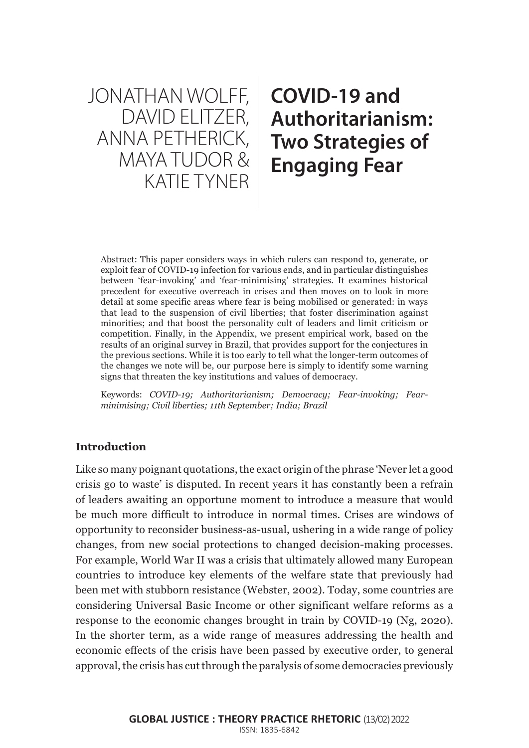JONATHAN WOLFF, DAVID ELITZER, ANNA PETHERICK, MAYA TUDOR & KATIE TYNER

# **COVID-19 and Authoritarianism: Two Strategies of Engaging Fear**

Abstract: This paper considers ways in which rulers can respond to, generate, or exploit fear of COVID-19 infection for various ends, and in particular distinguishes between 'fear-invoking' and 'fear-minimising' strategies. It examines historical precedent for executive overreach in crises and then moves on to look in more detail at some specific areas where fear is being mobilised or generated: in ways that lead to the suspension of civil liberties; that foster discrimination against minorities; and that boost the personality cult of leaders and limit criticism or competition. Finally, in the Appendix, we present empirical work, based on the results of an original survey in Brazil, that provides support for the conjectures in the previous sections. While it is too early to tell what the longer-term outcomes of the changes we note will be, our purpose here is simply to identify some warning signs that threaten the key institutions and values of democracy.

Keywords: *COVID-19; Authoritarianism; Democracy; Fear-invoking; Fearminimising; Civil liberties; 11th September; India; Brazil*

## **Introduction**

Like so many poignant quotations, the exact origin of the phrase 'Never let a good crisis go to waste' is disputed. In recent years it has constantly been a refrain of leaders awaiting an opportune moment to introduce a measure that would be much more difficult to introduce in normal times. Crises are windows of opportunity to reconsider business-as-usual, ushering in a wide range of policy changes, from new social protections to changed decision-making processes. For example, World War II was a crisis that ultimately allowed many European countries to introduce key elements of the welfare state that previously had been met with stubborn resistance (Webster, 2002). Today, some countries are considering Universal Basic Income or other significant welfare reforms as a response to the economic changes brought in train by COVID-19 (Ng, 2020). In the shorter term, as a wide range of measures addressing the health and economic effects of the crisis have been passed by executive order, to general approval, the crisis has cut through the paralysis of some democracies previously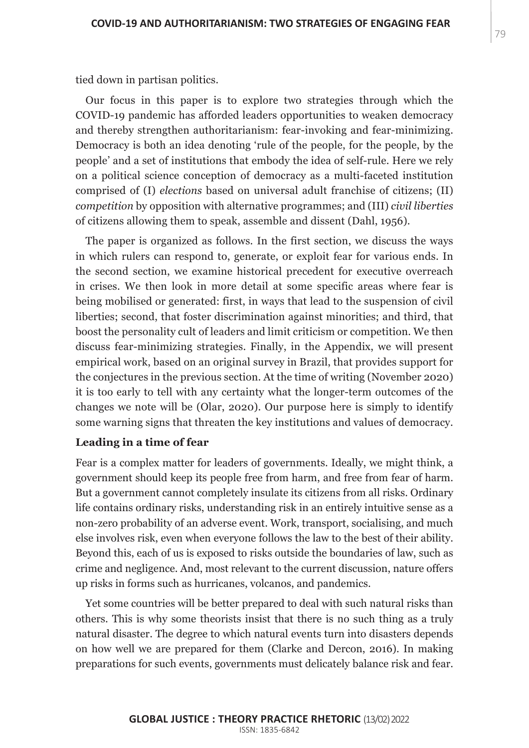tied down in partisan politics.

Our focus in this paper is to explore two strategies through which the COVID-19 pandemic has afforded leaders opportunities to weaken democracy and thereby strengthen authoritarianism: fear-invoking and fear-minimizing. Democracy is both an idea denoting 'rule of the people, for the people, by the people' and a set of institutions that embody the idea of self-rule. Here we rely on a political science conception of democracy as a multi-faceted institution comprised of (I) *elections* based on universal adult franchise of citizens; (II) *competition* by opposition with alternative programmes; and (III) *civil liberties*  of citizens allowing them to speak, assemble and dissent (Dahl, 1956).

The paper is organized as follows. In the first section, we discuss the ways in which rulers can respond to, generate, or exploit fear for various ends. In the second section, we examine historical precedent for executive overreach in crises. We then look in more detail at some specific areas where fear is being mobilised or generated: first, in ways that lead to the suspension of civil liberties; second, that foster discrimination against minorities; and third, that boost the personality cult of leaders and limit criticism or competition. We then discuss fear-minimizing strategies. Finally, in the Appendix, we will present empirical work, based on an original survey in Brazil, that provides support for the conjectures in the previous section. At the time of writing (November 2020) it is too early to tell with any certainty what the longer-term outcomes of the changes we note will be (Olar, 2020). Our purpose here is simply to identify some warning signs that threaten the key institutions and values of democracy.

## **Leading in a time of fear**

Fear is a complex matter for leaders of governments. Ideally, we might think, a government should keep its people free from harm, and free from fear of harm. But a government cannot completely insulate its citizens from all risks. Ordinary life contains ordinary risks, understanding risk in an entirely intuitive sense as a non-zero probability of an adverse event. Work, transport, socialising, and much else involves risk, even when everyone follows the law to the best of their ability. Beyond this, each of us is exposed to risks outside the boundaries of law, such as crime and negligence. And, most relevant to the current discussion, nature offers up risks in forms such as hurricanes, volcanos, and pandemics.

Yet some countries will be better prepared to deal with such natural risks than others. This is why some theorists insist that there is no such thing as a truly natural disaster. The degree to which natural events turn into disasters depends on how well we are prepared for them (Clarke and Dercon, 2016). In making preparations for such events, governments must delicately balance risk and fear.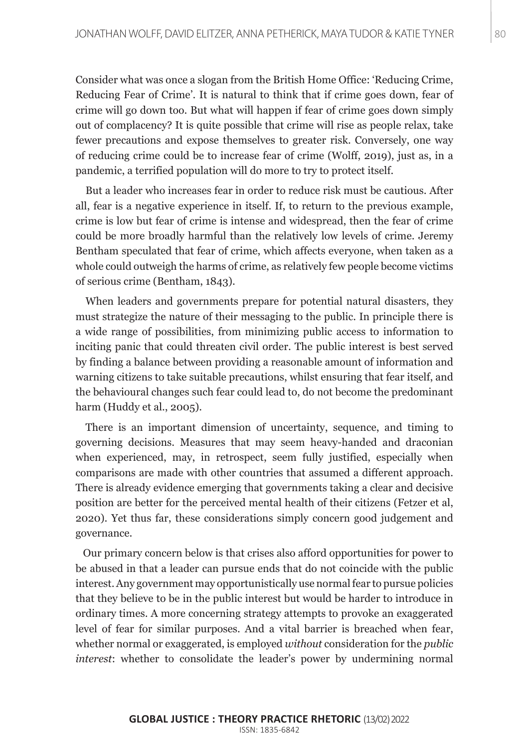Consider what was once a slogan from the British Home Office: 'Reducing Crime, Reducing Fear of Crime'. It is natural to think that if crime goes down, fear of crime will go down too. But what will happen if fear of crime goes down simply out of complacency? It is quite possible that crime will rise as people relax, take fewer precautions and expose themselves to greater risk. Conversely, one way of reducing crime could be to increase fear of crime (Wolff, 2019), just as, in a pandemic, a terrified population will do more to try to protect itself.

But a leader who increases fear in order to reduce risk must be cautious. After all, fear is a negative experience in itself. If, to return to the previous example, crime is low but fear of crime is intense and widespread, then the fear of crime could be more broadly harmful than the relatively low levels of crime. Jeremy Bentham speculated that fear of crime, which affects everyone, when taken as a whole could outweigh the harms of crime, as relatively few people become victims of serious crime (Bentham, 1843).

When leaders and governments prepare for potential natural disasters, they must strategize the nature of their messaging to the public. In principle there is a wide range of possibilities, from minimizing public access to information to inciting panic that could threaten civil order. The public interest is best served by finding a balance between providing a reasonable amount of information and warning citizens to take suitable precautions, whilst ensuring that fear itself, and the behavioural changes such fear could lead to, do not become the predominant harm (Huddy et al., 2005).

There is an important dimension of uncertainty, sequence, and timing to governing decisions. Measures that may seem heavy-handed and draconian when experienced, may, in retrospect, seem fully justified, especially when comparisons are made with other countries that assumed a different approach. There is already evidence emerging that governments taking a clear and decisive position are better for the perceived mental health of their citizens (Fetzer et al, 2020). Yet thus far, these considerations simply concern good judgement and governance.

Our primary concern below is that crises also afford opportunities for power to be abused in that a leader can pursue ends that do not coincide with the public interest. Any government may opportunistically use normal fear to pursue policies that they believe to be in the public interest but would be harder to introduce in ordinary times. A more concerning strategy attempts to provoke an exaggerated level of fear for similar purposes. And a vital barrier is breached when fear, whether normal or exaggerated, is employed *without* consideration for the *public interest*: whether to consolidate the leader's power by undermining normal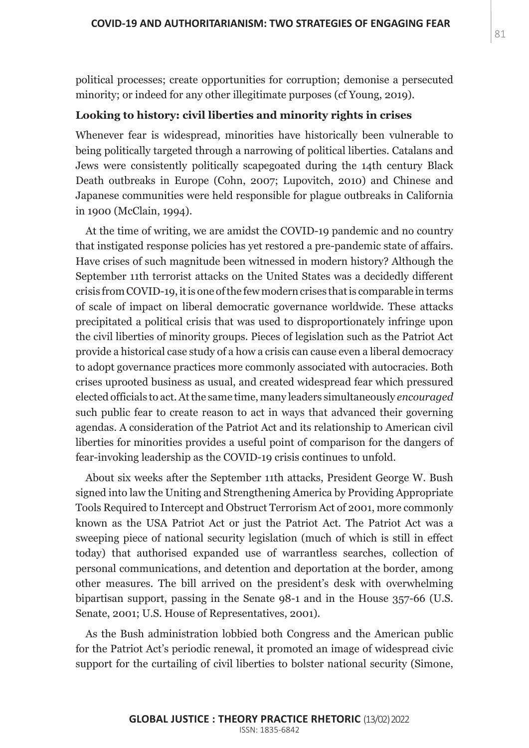political processes; create opportunities for corruption; demonise a persecuted minority; or indeed for any other illegitimate purposes (cf Young, 2019).

## **Looking to history: civil liberties and minority rights in crises**

Whenever fear is widespread, minorities have historically been vulnerable to being politically targeted through a narrowing of political liberties. Catalans and Jews were consistently politically scapegoated during the 14th century Black Death outbreaks in Europe (Cohn, 2007; Lupovitch, 2010) and Chinese and Japanese communities were held responsible for plague outbreaks in California in 1900 (McClain, 1994).

At the time of writing, we are amidst the COVID-19 pandemic and no country that instigated response policies has yet restored a pre-pandemic state of affairs. Have crises of such magnitude been witnessed in modern history? Although the September 11th terrorist attacks on the United States was a decidedly different crisis from COVID-19, it is one of the few modern crises that is comparable in terms of scale of impact on liberal democratic governance worldwide. These attacks precipitated a political crisis that was used to disproportionately infringe upon the civil liberties of minority groups. Pieces of legislation such as the Patriot Act provide a historical case study of a how a crisis can cause even a liberal democracy to adopt governance practices more commonly associated with autocracies. Both crises uprooted business as usual, and created widespread fear which pressured elected officials to act. At the same time, many leaders simultaneously *encouraged* such public fear to create reason to act in ways that advanced their governing agendas. A consideration of the Patriot Act and its relationship to American civil liberties for minorities provides a useful point of comparison for the dangers of fear-invoking leadership as the COVID-19 crisis continues to unfold.

About six weeks after the September 11th attacks, President George W. Bush signed into law the Uniting and Strengthening America by Providing Appropriate Tools Required to Intercept and Obstruct Terrorism Act of 2001, more commonly known as the USA Patriot Act or just the Patriot Act. The Patriot Act was a sweeping piece of national security legislation (much of which is still in effect today) that authorised expanded use of warrantless searches, collection of personal communications, and detention and deportation at the border, among other measures. The bill arrived on the president's desk with overwhelming bipartisan support, passing in the Senate 98-1 and in the House 357-66 (U.S. Senate, 2001; U.S. House of Representatives, 2001).

As the Bush administration lobbied both Congress and the American public for the Patriot Act's periodic renewal, it promoted an image of widespread civic support for the curtailing of civil liberties to bolster national security (Simone,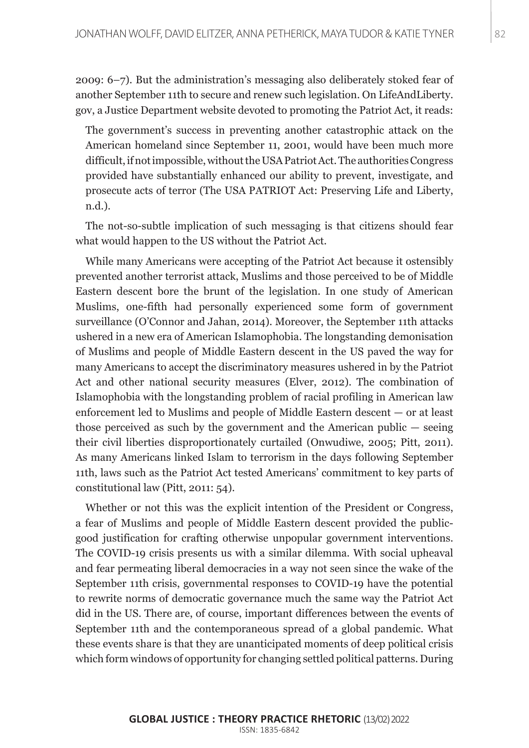2009: 6–7). But the administration's messaging also deliberately stoked fear of another September 11th to secure and renew such legislation. On LifeAndLiberty. gov, a Justice Department website devoted to promoting the Patriot Act, it reads:

The government's success in preventing another catastrophic attack on the American homeland since September 11, 2001, would have been much more difficult, if not impossible, without the USA Patriot Act. The authorities Congress provided have substantially enhanced our ability to prevent, investigate, and prosecute acts of terror (The USA PATRIOT Act: Preserving Life and Liberty, n.d.).

The not-so-subtle implication of such messaging is that citizens should fear what would happen to the US without the Patriot Act.

While many Americans were accepting of the Patriot Act because it ostensibly prevented another terrorist attack, Muslims and those perceived to be of Middle Eastern descent bore the brunt of the legislation. In one study of American Muslims, one-fifth had personally experienced some form of government surveillance (O'Connor and Jahan, 2014). Moreover, the September 11th attacks ushered in a new era of American Islamophobia. The longstanding demonisation of Muslims and people of Middle Eastern descent in the US paved the way for many Americans to accept the discriminatory measures ushered in by the Patriot Act and other national security measures (Elver, 2012). The combination of Islamophobia with the longstanding problem of racial profiling in American law enforcement led to Muslims and people of Middle Eastern descent — or at least those perceived as such by the government and the American public — seeing their civil liberties disproportionately curtailed (Onwudiwe, 2005; Pitt, 2011). As many Americans linked Islam to terrorism in the days following September 11th, laws such as the Patriot Act tested Americans' commitment to key parts of constitutional law (Pitt, 2011: 54).

Whether or not this was the explicit intention of the President or Congress, a fear of Muslims and people of Middle Eastern descent provided the publicgood justification for crafting otherwise unpopular government interventions. The COVID-19 crisis presents us with a similar dilemma. With social upheaval and fear permeating liberal democracies in a way not seen since the wake of the September 11th crisis, governmental responses to COVID-19 have the potential to rewrite norms of democratic governance much the same way the Patriot Act did in the US. There are, of course, important differences between the events of September 11th and the contemporaneous spread of a global pandemic. What these events share is that they are unanticipated moments of deep political crisis which form windows of opportunity for changing settled political patterns. During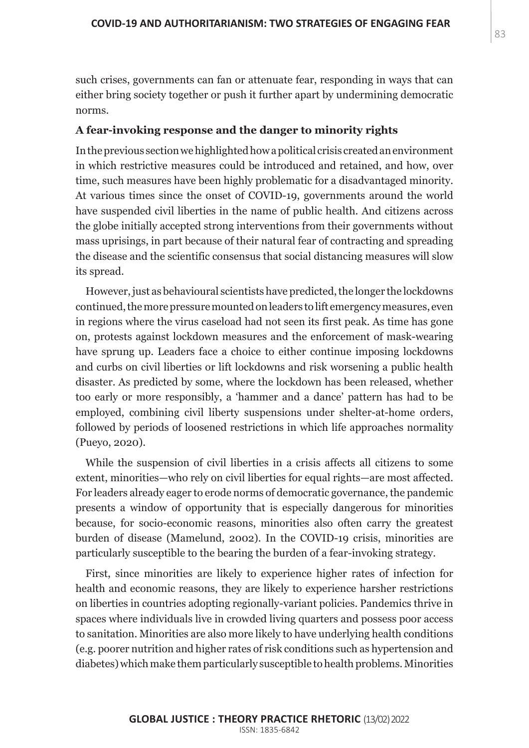such crises, governments can fan or attenuate fear, responding in ways that can either bring society together or push it further apart by undermining democratic norms.

#### **A fear-invoking response and the danger to minority rights**

In the previous section we highlighted how a political crisis created an environment in which restrictive measures could be introduced and retained, and how, over time, such measures have been highly problematic for a disadvantaged minority. At various times since the onset of COVID-19, governments around the world have suspended civil liberties in the name of public health. And citizens across the globe initially accepted strong interventions from their governments without mass uprisings, in part because of their natural fear of contracting and spreading the disease and the scientific consensus that social distancing measures will slow its spread.

However, just as behavioural scientists have predicted, the longer the lockdowns continued, the more pressure mounted on leaders to lift emergency measures, even in regions where the virus caseload had not seen its first peak. As time has gone on, protests against lockdown measures and the enforcement of mask-wearing have sprung up. Leaders face a choice to either continue imposing lockdowns and curbs on civil liberties or lift lockdowns and risk worsening a public health disaster. As predicted by some, where the lockdown has been released, whether too early or more responsibly, a 'hammer and a dance' pattern has had to be employed, combining civil liberty suspensions under shelter-at-home orders, followed by periods of loosened restrictions in which life approaches normality (Pueyo, 2020).

While the suspension of civil liberties in a crisis affects all citizens to some extent, minorities—who rely on civil liberties for equal rights—are most affected. For leaders already eager to erode norms of democratic governance, the pandemic presents a window of opportunity that is especially dangerous for minorities because, for socio-economic reasons, minorities also often carry the greatest burden of disease (Mamelund, 2002). In the COVID-19 crisis, minorities are particularly susceptible to the bearing the burden of a fear-invoking strategy.

First, since minorities are likely to experience higher rates of infection for health and economic reasons, they are likely to experience harsher restrictions on liberties in countries adopting regionally-variant policies. Pandemics thrive in spaces where individuals live in crowded living quarters and possess poor access to sanitation. Minorities are also more likely to have underlying health conditions (e.g. poorer nutrition and higher rates of risk conditions such as hypertension and diabetes) which make them particularly susceptible to health problems. Minorities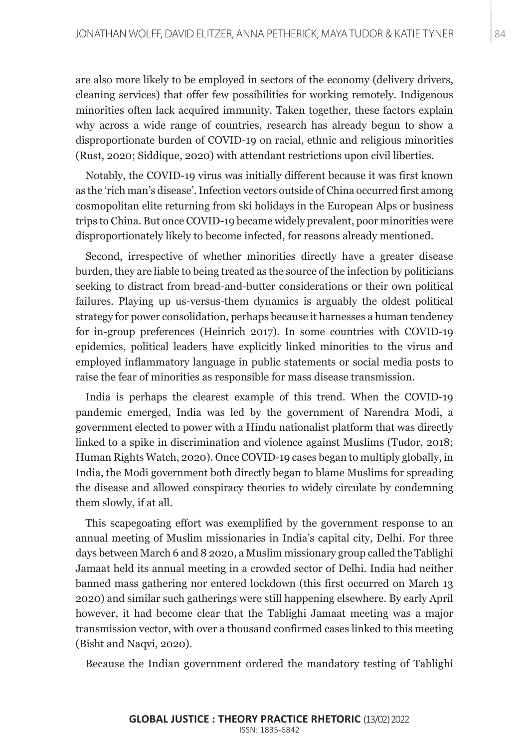are also more likely to be employed in sectors of the economy (delivery drivers, cleaning services) that offer few possibilities for working remotely. Indigenous minorities often lack acquired immunity. Taken together, these factors explain why across a wide range of countries, research has already begun to show a disproportionate burden of COVID-19 on racial, ethnic and religious minorities (Rust, 2020; Siddique, 2020) with attendant restrictions upon civil liberties.

Notably, the COVID-19 virus was initially different because it was first known as the 'rich man's disease'. Infection vectors outside of China occurred first among cosmopolitan elite returning from ski holidays in the European Alps or business trips to China. But once COVID-19 became widely prevalent, poor minorities were disproportionately likely to become infected, for reasons already mentioned.

Second, irrespective of whether minorities directly have a greater disease burden, they are liable to being treated as the source of the infection by politicians seeking to distract from bread-and-butter considerations or their own political failures. Playing up us-versus-them dynamics is arguably the oldest political strategy for power consolidation, perhaps because it harnesses a human tendency for in-group preferences (Heinrich 2017). In some countries with COVID-19 epidemics, political leaders have explicitly linked minorities to the virus and employed inflammatory language in public statements or social media posts to raise the fear of minorities as responsible for mass disease transmission.

India is perhaps the clearest example of this trend. When the COVID-19 pandemic emerged, India was led by the government of Narendra Modi, a government elected to power with a Hindu nationalist platform that was directly linked to a spike in discrimination and violence against Muslims (Tudor, 2018; Human Rights Watch, 2020). Once COVID-19 cases began to multiply globally, in India, the Modi government both directly began to blame Muslims for spreading the disease and allowed conspiracy theories to widely circulate by condemning them slowly, if at all.

This scapegoating effort was exemplified by the government response to an annual meeting of Muslim missionaries in India's capital city, Delhi. For three days between March 6 and 8 2020, a Muslim missionary group called the Tablighi Jamaat held its annual meeting in a crowded sector of Delhi. India had neither banned mass gathering nor entered lockdown (this first occurred on March 13 2020) and similar such gatherings were still happening elsewhere. By early April however, it had become clear that the Tablighi Jamaat meeting was a major transmission vector, with over a thousand confirmed cases linked to this meeting (Bisht and Naqvi, 2020).

Because the Indian government ordered the mandatory testing of Tablighi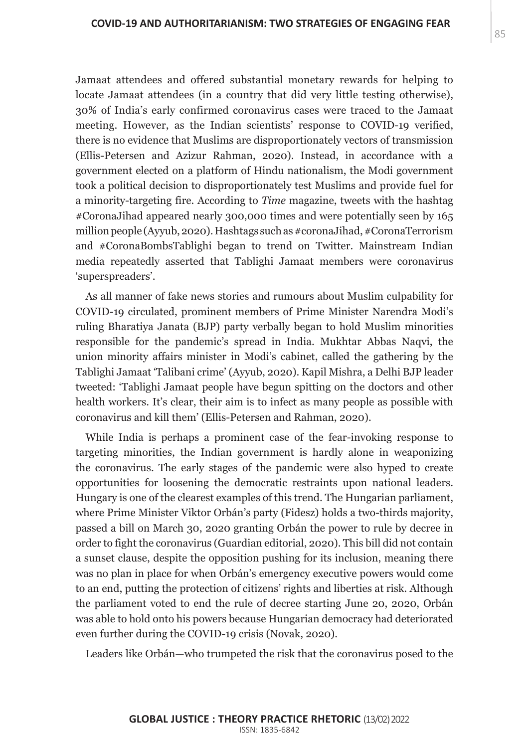Jamaat attendees and offered substantial monetary rewards for helping to locate Jamaat attendees (in a country that did very little testing otherwise), 30% of India's early confirmed coronavirus cases were traced to the Jamaat meeting. However, as the Indian scientists' response to COVID-19 verified, there is no evidence that Muslims are disproportionately vectors of transmission (Ellis-Petersen and Azizur Rahman, 2020). Instead, in accordance with a government elected on a platform of Hindu nationalism, the Modi government took a political decision to disproportionately test Muslims and provide fuel for a minority-targeting fire. According to *Time* magazine, tweets with the hashtag #CoronaJihad appeared nearly 300,000 times and were potentially seen by 165 million people (Ayyub, 2020). Hashtags such as #coronaJihad, #CoronaTerrorism and #CoronaBombsTablighi began to trend on Twitter. Mainstream Indian media repeatedly asserted that Tablighi Jamaat members were coronavirus 'superspreaders'.

As all manner of fake news stories and rumours about Muslim culpability for COVID-19 circulated, prominent members of Prime Minister Narendra Modi's ruling Bharatiya Janata (BJP) party verbally began to hold Muslim minorities responsible for the pandemic's spread in India. Mukhtar Abbas Naqvi, the union minority affairs minister in Modi's cabinet, called the gathering by the Tablighi Jamaat 'Talibani crime' (Ayyub, 2020). Kapil Mishra, a Delhi BJP leader tweeted: 'Tablighi Jamaat people have begun spitting on the doctors and other health workers. It's clear, their aim is to infect as many people as possible with coronavirus and kill them' (Ellis-Petersen and Rahman, 2020).

While India is perhaps a prominent case of the fear-invoking response to targeting minorities, the Indian government is hardly alone in weaponizing the coronavirus. The early stages of the pandemic were also hyped to create opportunities for loosening the democratic restraints upon national leaders. Hungary is one of the clearest examples of this trend. The Hungarian parliament, where Prime Minister Viktor Orbán's party (Fidesz) holds a two-thirds majority, passed a bill on March 30, 2020 granting Orbán the power to rule by decree in order to fight the coronavirus (Guardian editorial, 2020). This bill did not contain a sunset clause, despite the opposition pushing for its inclusion, meaning there was no plan in place for when Orbán's emergency executive powers would come to an end, putting the protection of citizens' rights and liberties at risk. Although the parliament voted to end the rule of decree starting June 20, 2020, Orbán was able to hold onto his powers because Hungarian democracy had deteriorated even further during the COVID-19 crisis (Novak, 2020).

Leaders like Orbán—who trumpeted the risk that the coronavirus posed to the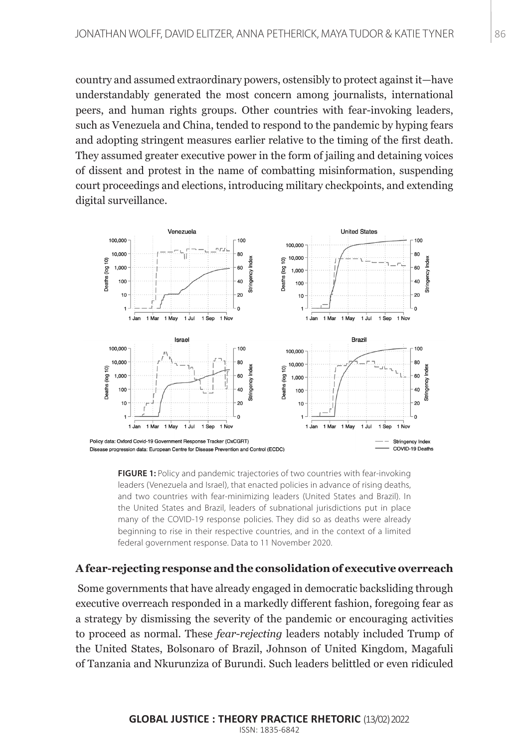country and assumed extraordinary powers, ostensibly to protect against it—have understandably generated the most concern among journalists, international peers, and human rights groups. Other countries with fear-invoking leaders, such as Venezuela and China, tended to respond to the pandemic by hyping fears and adopting stringent measures earlier relative to the timing of the first death. They assumed greater executive power in the form of jailing and detaining voices of dissent and protest in the name of combatting misinformation, suspending court proceedings and elections, introducing military checkpoints, and extending digital surveillance.



**FIGURE 1:** Policy and pandemic trajectories of two countries with fear-invoking leaders (Venezuela and Israel), that enacted policies in advance of rising deaths, and two countries with fear-minimizing leaders (United States and Brazil). In the United States and Brazil, leaders of subnational jurisdictions put in place many of the COVID-19 response policies. They did so as deaths were already beginning to rise in their respective countries, and in the context of a limited federal government response. Data to 11 November 2020.

# **A fear-rejecting response and the consolidation of executive overreach**

 Some governments that have already engaged in democratic backsliding through executive overreach responded in a markedly different fashion, foregoing fear as a strategy by dismissing the severity of the pandemic or encouraging activities to proceed as normal. These *fear-rejecting* leaders notably included Trump of the United States, Bolsonaro of Brazil, Johnson of United Kingdom, Magafuli of Tanzania and Nkurunziza of Burundi. Such leaders belittled or even ridiculed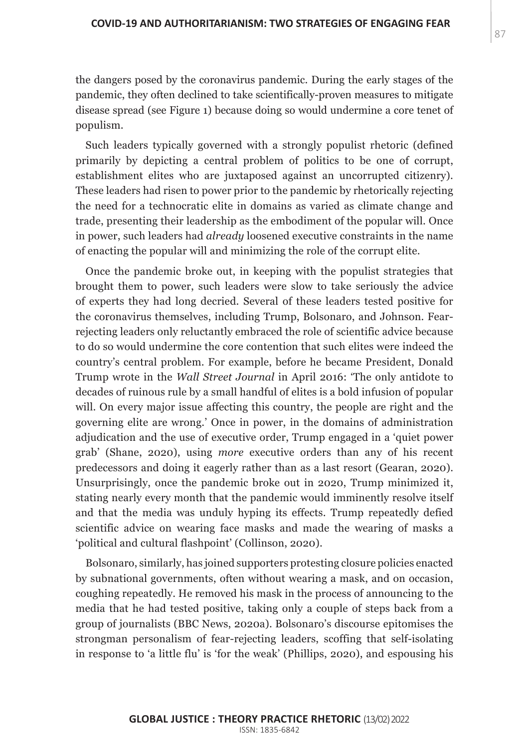the dangers posed by the coronavirus pandemic. During the early stages of the pandemic, they often declined to take scientifically-proven measures to mitigate disease spread (see Figure 1) because doing so would undermine a core tenet of populism.

Such leaders typically governed with a strongly populist rhetoric (defined primarily by depicting a central problem of politics to be one of corrupt, establishment elites who are juxtaposed against an uncorrupted citizenry). These leaders had risen to power prior to the pandemic by rhetorically rejecting the need for a technocratic elite in domains as varied as climate change and trade, presenting their leadership as the embodiment of the popular will. Once in power, such leaders had *already* loosened executive constraints in the name of enacting the popular will and minimizing the role of the corrupt elite.

Once the pandemic broke out, in keeping with the populist strategies that brought them to power, such leaders were slow to take seriously the advice of experts they had long decried. Several of these leaders tested positive for the coronavirus themselves, including Trump, Bolsonaro, and Johnson. Fearrejecting leaders only reluctantly embraced the role of scientific advice because to do so would undermine the core contention that such elites were indeed the country's central problem. For example, before he became President, Donald Trump wrote in the *Wall Street Journal* in April 2016: 'The only antidote to decades of ruinous rule by a small handful of elites is a bold infusion of popular will. On every major issue affecting this country, the people are right and the governing elite are wrong.' Once in power, in the domains of administration adjudication and the use of executive order, Trump engaged in a 'quiet power grab' (Shane, 2020), using *more* executive orders than any of his recent predecessors and doing it eagerly rather than as a last resort (Gearan, 2020). Unsurprisingly, once the pandemic broke out in 2020, Trump minimized it, stating nearly every month that the pandemic would imminently resolve itself and that the media was unduly hyping its effects. Trump repeatedly defied scientific advice on wearing face masks and made the wearing of masks a 'political and cultural flashpoint' (Collinson, 2020).

Bolsonaro, similarly, has joined supporters protesting closure policies enacted by subnational governments, often without wearing a mask, and on occasion, coughing repeatedly. He removed his mask in the process of announcing to the media that he had tested positive, taking only a couple of steps back from a group of journalists (BBC News, 2020a). Bolsonaro's discourse epitomises the strongman personalism of fear-rejecting leaders, scoffing that self-isolating in response to 'a little flu' is 'for the weak' (Phillips, 2020), and espousing his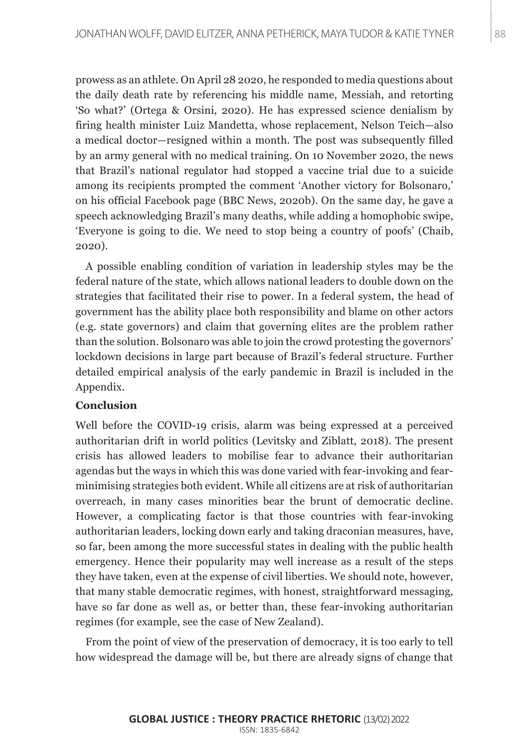prowess as an athlete. On April 28 2020, he responded to media questions about the daily death rate by referencing his middle name, Messiah, and retorting 'So what?' (Ortega & Orsini, 2020). He has expressed science denialism by firing health minister Luiz Mandetta, whose replacement, Nelson Teich—also a medical doctor—resigned within a month. The post was subsequently filled by an army general with no medical training. On 10 November 2020, the news that Brazil's national regulator had stopped a vaccine trial due to a suicide among its recipients prompted the comment 'Another victory for Bolsonaro,' on his official Facebook page (BBC News, 2020b). On the same day, he gave a speech acknowledging Brazil's many deaths, while adding a homophobic swipe, 'Everyone is going to die. We need to stop being a country of poofs' (Chaib, 2020).

A possible enabling condition of variation in leadership styles may be the federal nature of the state, which allows national leaders to double down on the strategies that facilitated their rise to power. In a federal system, the head of government has the ability place both responsibility and blame on other actors (e.g. state governors) and claim that governing elites are the problem rather than the solution. Bolsonaro was able to join the crowd protesting the governors' lockdown decisions in large part because of Brazil's federal structure. Further detailed empirical analysis of the early pandemic in Brazil is included in the Appendix.

# **Conclusion**

Well before the COVID-19 crisis, alarm was being expressed at a perceived authoritarian drift in world politics (Levitsky and Ziblatt, 2018). The present crisis has allowed leaders to mobilise fear to advance their authoritarian agendas but the ways in which this was done varied with fear-invoking and fearminimising strategies both evident. While all citizens are at risk of authoritarian overreach, in many cases minorities bear the brunt of democratic decline. However, a complicating factor is that those countries with fear-invoking authoritarian leaders, locking down early and taking draconian measures, have, so far, been among the more successful states in dealing with the public health emergency. Hence their popularity may well increase as a result of the steps they have taken, even at the expense of civil liberties. We should note, however, that many stable democratic regimes, with honest, straightforward messaging, have so far done as well as, or better than, these fear-invoking authoritarian regimes (for example, see the case of New Zealand).

From the point of view of the preservation of democracy, it is too early to tell how widespread the damage will be, but there are already signs of change that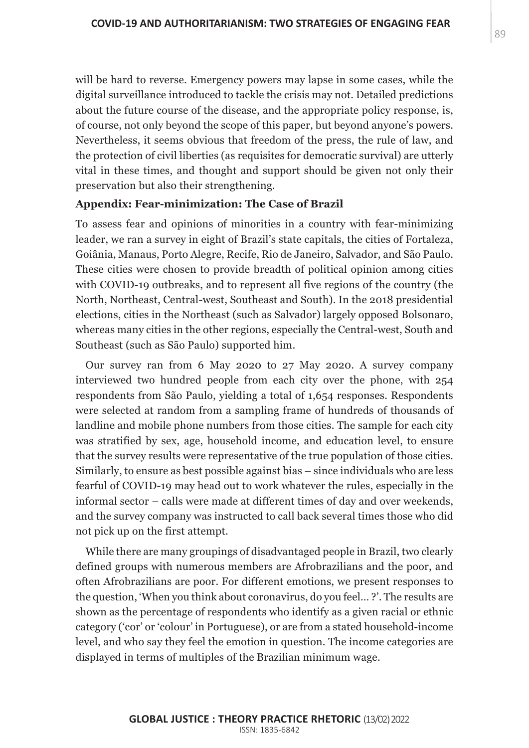will be hard to reverse. Emergency powers may lapse in some cases, while the digital surveillance introduced to tackle the crisis may not. Detailed predictions about the future course of the disease, and the appropriate policy response, is, of course, not only beyond the scope of this paper, but beyond anyone's powers. Nevertheless, it seems obvious that freedom of the press, the rule of law, and the protection of civil liberties (as requisites for democratic survival) are utterly vital in these times, and thought and support should be given not only their preservation but also their strengthening.

## **Appendix: Fear-minimization: The Case of Brazil**

To assess fear and opinions of minorities in a country with fear-minimizing leader, we ran a survey in eight of Brazil's state capitals, the cities of Fortaleza, Goiânia, Manaus, Porto Alegre, Recife, Rio de Janeiro, Salvador, and São Paulo. These cities were chosen to provide breadth of political opinion among cities with COVID-19 outbreaks, and to represent all five regions of the country (the North, Northeast, Central-west, Southeast and South). In the 2018 presidential elections, cities in the Northeast (such as Salvador) largely opposed Bolsonaro, whereas many cities in the other regions, especially the Central-west, South and Southeast (such as São Paulo) supported him.

Our survey ran from 6 May 2020 to 27 May 2020. A survey company interviewed two hundred people from each city over the phone, with 254 respondents from São Paulo, yielding a total of 1,654 responses. Respondents were selected at random from a sampling frame of hundreds of thousands of landline and mobile phone numbers from those cities. The sample for each city was stratified by sex, age, household income, and education level, to ensure that the survey results were representative of the true population of those cities. Similarly, to ensure as best possible against bias – since individuals who are less fearful of COVID-19 may head out to work whatever the rules, especially in the informal sector – calls were made at different times of day and over weekends, and the survey company was instructed to call back several times those who did not pick up on the first attempt.

While there are many groupings of disadvantaged people in Brazil, two clearly defined groups with numerous members are Afrobrazilians and the poor, and often Afrobrazilians are poor. For different emotions, we present responses to the question, 'When you think about coronavirus, do you feel… ?'. The results are shown as the percentage of respondents who identify as a given racial or ethnic category ('cor' or 'colour' in Portuguese), or are from a stated household-income level, and who say they feel the emotion in question. The income categories are displayed in terms of multiples of the Brazilian minimum wage.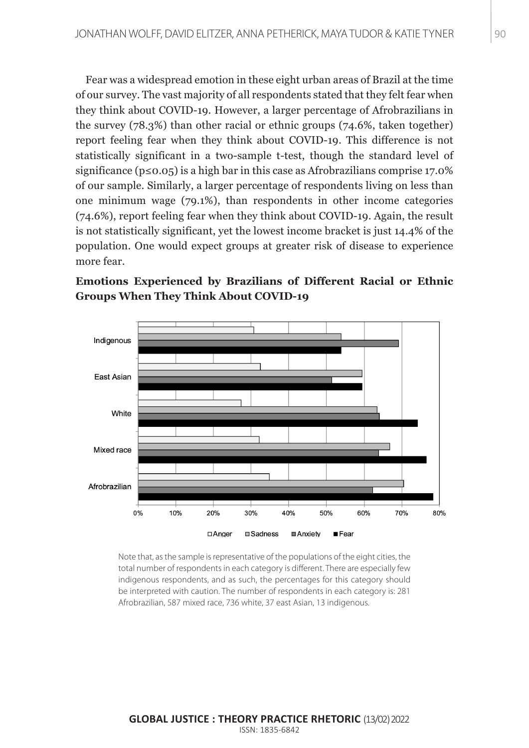Fear was a widespread emotion in these eight urban areas of Brazil at the time of our survey. The vast majority of all respondents stated that they felt fear when they think about COVID-19. However, a larger percentage of Afrobrazilians in the survey (78.3%) than other racial or ethnic groups (74.6%, taken together) report feeling fear when they think about COVID-19. This difference is not statistically significant in a two-sample t-test, though the standard level of significance ( $p \le 0.05$ ) is a high bar in this case as Afrobrazilians comprise 17.0% of our sample. Similarly, a larger percentage of respondents living on less than one minimum wage (79.1%), than respondents in other income categories (74.6%), report feeling fear when they think about COVID-19. Again, the result is not statistically significant, yet the lowest income bracket is just 14.4% of the population. One would expect groups at greater risk of disease to experience more fear.





Note that, as the sample is representative of the populations of the eight cities, the total number of respondents in each category is different. There are especially few indigenous respondents, and as such, the percentages for this category should be interpreted with caution. The number of respondents in each category is: 281 Afrobrazilian, 587 mixed race, 736 white, 37 east Asian, 13 indigenous.

#### **GLOBAL JUSTICE : THEORY PRACTICE RHETORIC** (13/02) 2022 ISSN: 1835-6842 ISSN: 1835-6842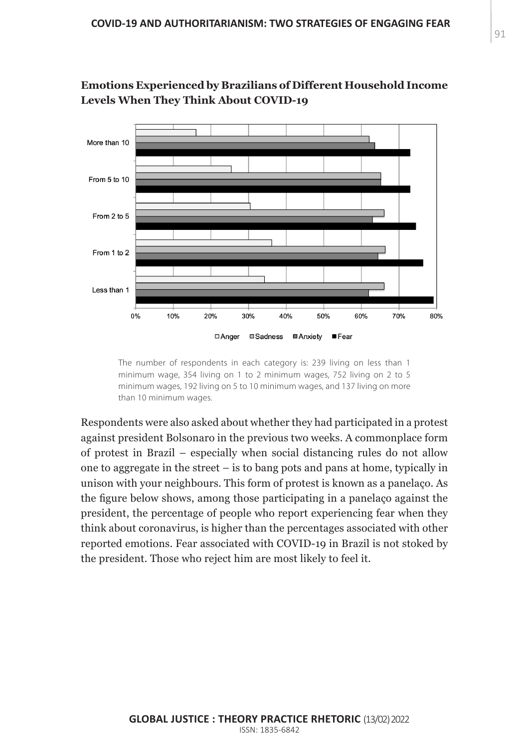**Emotions Experienced by Brazilians of Different Household Income Levels When They Think About COVID-19**



The number of respondents in each category is: 239 living on less than 1 minimum wage, 354 living on 1 to 2 minimum wages, 752 living on 2 to 5 minimum wages, 192 living on 5 to 10 minimum wages, and 137 living on more than 10 minimum wages.

Respondents were also asked about whether they had participated in a protest against president Bolsonaro in the previous two weeks. A commonplace form of protest in Brazil – especially when social distancing rules do not allow one to aggregate in the street – is to bang pots and pans at home, typically in unison with your neighbours. This form of protest is known as a panelaço. As the figure below shows, among those participating in a panelaço against the president, the percentage of people who report experiencing fear when they think about coronavirus, is higher than the percentages associated with other reported emotions. Fear associated with COVID-19 in Brazil is not stoked by the president. Those who reject him are most likely to feel it.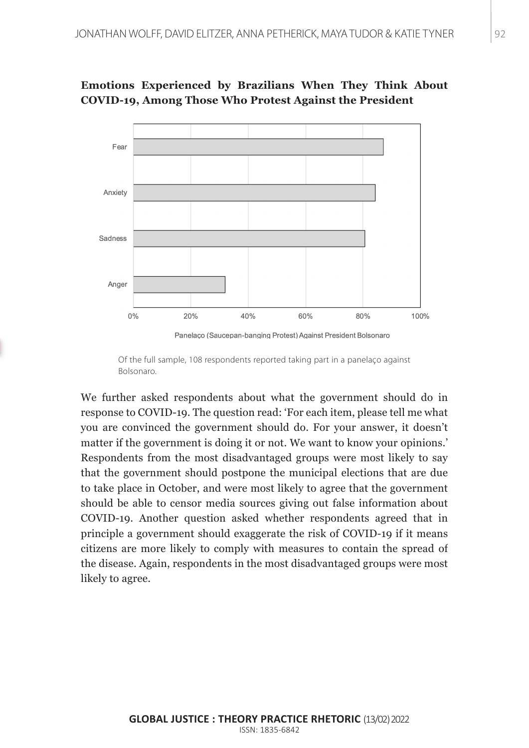



Panelaco (Saucepan-banging Protest) Against President Bolsonaro

Of the full sample, 108 respondents reported taking part in a panelaço against Bolsonaro.

We further asked respondents about what the government should do in response to COVID-19. The question read: 'For each item, please tell me what you are convinced the government should do. For your answer, it doesn't matter if the government is doing it or not. We want to know your opinions.' Respondents from the most disadvantaged groups were most likely to say that the government should postpone the municipal elections that are due to take place in October, and were most likely to agree that the government should be able to censor media sources giving out false information about COVID-19. Another question asked whether respondents agreed that in principle a government should exaggerate the risk of COVID-19 if it means citizens are more likely to comply with measures to contain the spread of the disease. Again, respondents in the most disadvantaged groups were most likely to agree.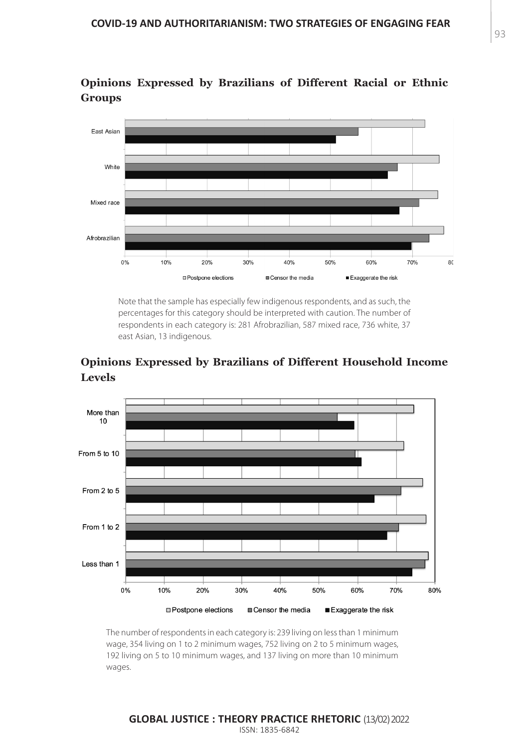

**Opinions Expressed by Brazilians of Different Racial or Ethnic Groups**

> Note that the sample has especially few indigenous respondents, and as such, the percentages for this category should be interpreted with caution. The number of respondents in each category is: 281 Afrobrazilian, 587 mixed race, 736 white, 37 east Asian, 13 indigenous.

# **Opinions Expressed by Brazilians of Different Household Income Levels**



The number of respondents in each category is: 239 living on less than 1 minimum wage, 354 living on 1 to 2 minimum wages, 752 living on 2 to 5 minimum wages, 192 living on 5 to 10 minimum wages, and 137 living on more than 10 minimum wages.

#### **GLOBAL JUSTICE : THEORY PRACTICE RHETORIC** (13/02) 2022 ISSN: 1835-6842 ISSN: 1835-6842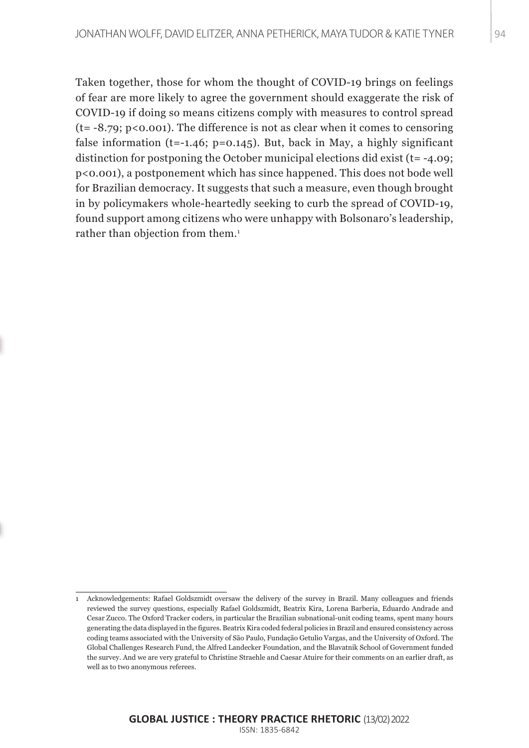Taken together, those for whom the thought of COVID-19 brings on feelings of fear are more likely to agree the government should exaggerate the risk of COVID-19 if doing so means citizens comply with measures to control spread  $(t = -8.79; p < 0.001)$ . The difference is not as clear when it comes to censoring false information (t=-1.46;  $p=0.145$ ). But, back in May, a highly significant distinction for postponing the October municipal elections did exist (t= -4.09; p<0.001), a postponement which has since happened. This does not bode well for Brazilian democracy. It suggests that such a measure, even though brought in by policymakers whole-heartedly seeking to curb the spread of COVID-19, found support among citizens who were unhappy with Bolsonaro's leadership, rather than objection from them.<sup>1</sup>

<sup>1</sup> Acknowledgements: Rafael Goldszmidt oversaw the delivery of the survey in Brazil. Many colleagues and friends reviewed the survey questions, especially Rafael Goldszmidt, Beatrix Kira, Lorena Barberia, Eduardo Andrade and Cesar Zucco. The Oxford Tracker coders, in particular the Brazilian subnational-unit coding teams, spent many hours generating the data displayed in the figures. Beatrix Kira coded federal policies in Brazil and ensured consistency across coding teams associated with the University of São Paulo, Fundação Getulio Vargas, and the University of Oxford. The Global Challenges Research Fund, the Alfred Landecker Foundation, and the Blavatnik School of Government funded the survey. And we are very grateful to Christine Straehle and Caesar Atuire for their comments on an earlier draft, as well as to two anonymous referees.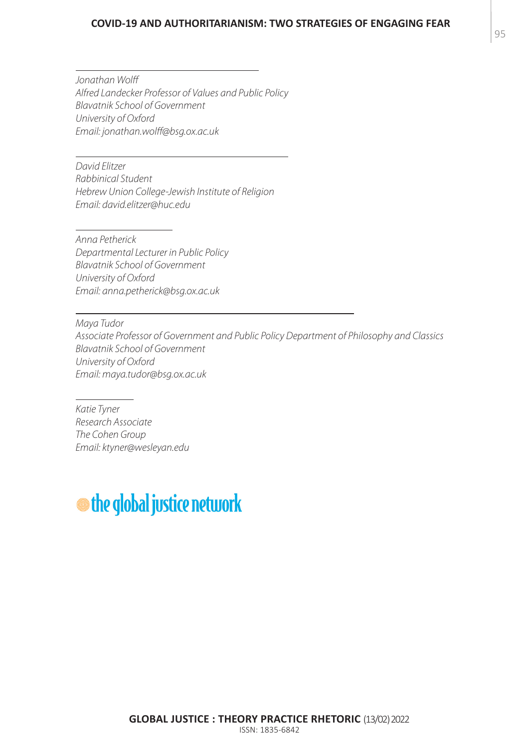#### **COVID-19 AND AUTHORITARIANISM: TWO STRATEGIES OF ENGAGING FEAR**

*Jonathan Wolff Alfred Landecker Professor of Values and Public Policy Blavatnik School of Government University of Oxford Email: jonathan.wolff@bsg.ox.ac.uk*

*David Elitzer Rabbinical Student Hebrew Union College-Jewish Institute of Religion Email: david.elitzer@huc.edu*

*Anna Petherick Departmental Lecturer in Public Policy Blavatnik School of Government University of Oxford Email: anna.petherick@bsg.ox.ac.uk*

*Maya Tudor Associate Professor of Government and Public Policy Department of Philosophy and Classics Blavatnik School of Government University of Oxford Email: maya.tudor@bsg.ox.ac.uk*

*Katie Tyner Research Associate The Cohen Group Email: ktyner@wesleyan.edu*

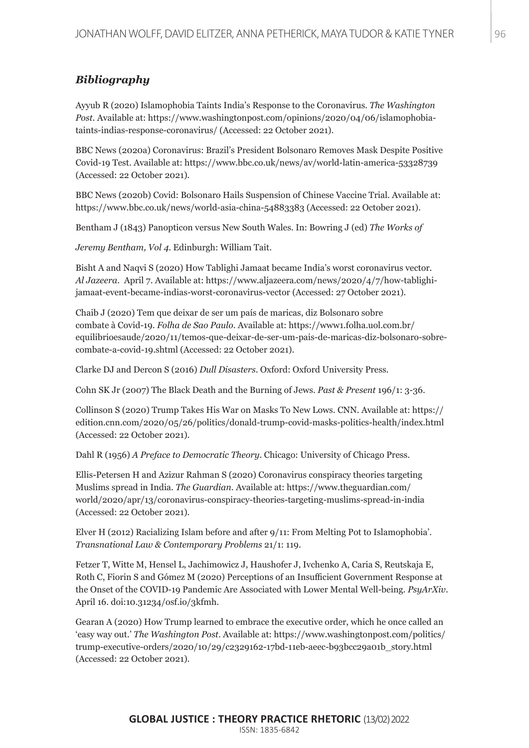## *Bibliography*

Ayyub R (2020) Islamophobia Taints India's Response to the Coronavirus. *The Washington Post.* Available at: https://www.washingtonpost.com/opinions/2020/04/06/islamophobiataints-indias-response-coronavirus/ (Accessed: 22 October 2021).

BBC News (2020a) Coronavirus: Brazil's President Bolsonaro Removes Mask Despite Positive Covid-19 Test. Available at: https://www.bbc.co.uk/news/av/world-latin-america-53328739 (Accessed: 22 October 2021).

BBC News (2020b) Covid: Bolsonaro Hails Suspension of Chinese Vaccine Trial. Available at: https://www.bbc.co.uk/news/world-asia-china-54883383 (Accessed: 22 October 2021).

Bentham J (1843) Panopticon versus New South Wales. In: Bowring J (ed) *The Works of*

*Jeremy Bentham, Vol 4*. Edinburgh: William Tait.

Bisht A and Naqvi S (2020) How Tablighi Jamaat became India's worst coronavirus vector. *Al Jazeera*. April 7. Available at: https://www.aljazeera.com/news/2020/4/7/how-tablighijamaat-event-became-indias-worst-coronavirus-vector (Accessed: 27 October 2021).

Chaib J (2020) Tem que deixar de ser um país de maricas, diz Bolsonaro sobre combate à Covid-19. *Folha de Sao Paulo*. Available at: https://www1.folha.uol.com.br/ equilibrioesaude/2020/11/temos-que-deixar-de-ser-um-pais-de-maricas-diz-bolsonaro-sobrecombate-a-covid-19.shtml (Accessed: 22 October 2021).

Clarke DJ and Dercon S (2016) *Dull Disasters*. Oxford: Oxford University Press.

Cohn SK Jr (2007) The Black Death and the Burning of Jews. *Past & Present* 196/1: 3-36.

Collinson S (2020) Trump Takes His War on Masks To New Lows. CNN. Available at: https:// edition.cnn.com/2020/05/26/politics/donald-trump-covid-masks-politics-health/index.html (Accessed: 22 October 2021).

Dahl R (1956) *A Preface to Democratic Theory*. Chicago: University of Chicago Press.

Ellis-Petersen H and Azizur Rahman S (2020) Coronavirus conspiracy theories targeting Muslims spread in India. *The Guardian*. Available at: https://www.theguardian.com/ world/2020/apr/13/coronavirus-conspiracy-theories-targeting-muslims-spread-in-india (Accessed: 22 October 2021).

Elver H (2012) Racializing Islam before and after 9/11: From Melting Pot to Islamophobia'. *Transnational Law & Contemporary Problems* 21/1: 119.

Fetzer T, Witte M, Hensel L, Jachimowicz J, Haushofer J, Ivchenko A, Caria S, Reutskaja E, Roth C, Fiorin S and Gómez M (2020) Perceptions of an Insufficient Government Response at the Onset of the COVID-19 Pandemic Are Associated with Lower Mental Well-being. *PsyArXiv*. April 16. doi:10.31234/osf.io/3kfmh.

Gearan A (2020) How Trump learned to embrace the executive order, which he once called an 'easy way out.' *The Washington Post*. Available at: https://www.washingtonpost.com/politics/ trump-executive-orders/2020/10/29/c2329162-17bd-11eb-aeec-b93bcc29a01b\_story.html (Accessed: 22 October 2021).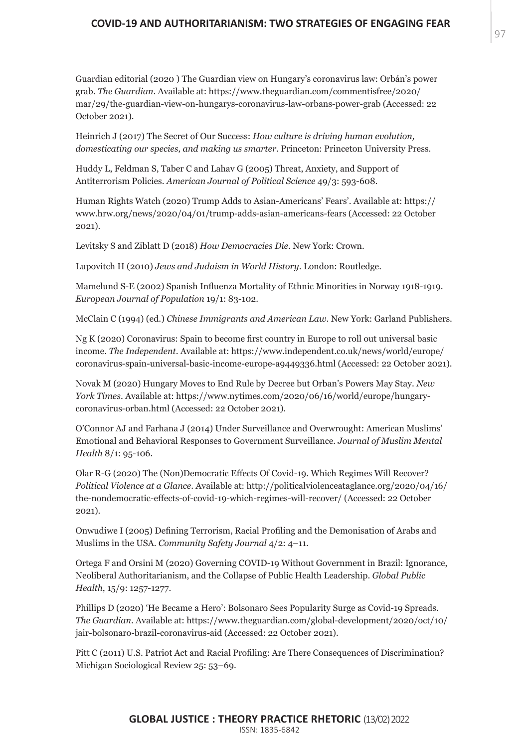#### **COVID-19 AND AUTHORITARIANISM: TWO STRATEGIES OF ENGAGING FEAR**

Guardian editorial (2020 ) The Guardian view on Hungary's coronavirus law: Orbán's power grab. *The Guardian*. Available at: https://www.theguardian.com/commentisfree/2020/ mar/29/the-guardian-view-on-hungarys-coronavirus-law-orbans-power-grab (Accessed: 22 October 2021).

Heinrich J (2017) The Secret of Our Success: *How culture is driving human evolution, domesticating our species, and making us smarter*. Princeton: Princeton University Press.

Huddy L, Feldman S, Taber C and Lahav G (2005) Threat, Anxiety, and Support of Antiterrorism Policies. *American Journal of Political Science* 49/3: 593-608.

Human Rights Watch (2020) Trump Adds to Asian-Americans' Fears'. Available at: https:// www.hrw.org/news/2020/04/01/trump-adds-asian-americans-fears (Accessed: 22 October 2021).

Levitsky S and Ziblatt D (2018) *How Democracies Die*. New York: Crown.

Lupovitch H (2010) *Jews and Judaism in World History*. London: Routledge.

Mamelund S-E (2002) Spanish Influenza Mortality of Ethnic Minorities in Norway 1918-1919. *European Journal of Population* 19/1: 83-102.

McClain C (1994) (ed.) *Chinese Immigrants and American Law*. New York: Garland Publishers.

Ng K (2020) Coronavirus: Spain to become first country in Europe to roll out universal basic income. *The Independent*. Available at: https://www.independent.co.uk/news/world/europe/ coronavirus-spain-universal-basic-income-europe-a9449336.html (Accessed: 22 October 2021).

Novak M (2020) Hungary Moves to End Rule by Decree but Orban's Powers May Stay. *New York Times*. Available at: https://www.nytimes.com/2020/06/16/world/europe/hungarycoronavirus-orban.html (Accessed: 22 October 2021).

O'Connor AJ and Farhana J (2014) Under Surveillance and Overwrought: American Muslims' Emotional and Behavioral Responses to Government Surveillance. *Journal of Muslim Mental Health* 8/1: 95-106.

Olar R-G (2020) The (Non)Democratic Effects Of Covid-19. Which Regimes Will Recover? *Political Violence at a Glance*. Available at: http://politicalviolenceataglance.org/2020/04/16/ the-nondemocratic-effects-of-covid-19-which-regimes-will-recover/ (Accessed: 22 October 2021).

Onwudiwe I (2005) Defining Terrorism, Racial Profiling and the Demonisation of Arabs and Muslims in the USA. *Community Safety Journal* 4/2: 4–11.

Ortega F and Orsini M (2020) Governing COVID-19 Without Government in Brazil: Ignorance, Neoliberal Authoritarianism, and the Collapse of Public Health Leadership. *Global Public Health*, 15/9: 1257-1277.

Phillips D (2020) 'He Became a Hero': Bolsonaro Sees Popularity Surge as Covid-19 Spreads. *The Guardian*. Available at: https://www.theguardian.com/global-development/2020/oct/10/ jair-bolsonaro-brazil-coronavirus-aid (Accessed: 22 October 2021).

Pitt C (2011) U.S. Patriot Act and Racial Profiling: Are There Consequences of Discrimination? Michigan Sociological Review 25: 53–69.